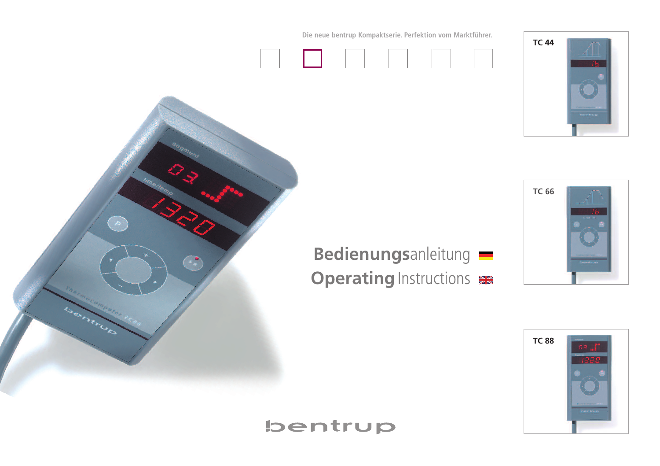**Die neue bentrup Kompaktserie. Perfektion vom Marktführer.**





**TC 66**



**Bedienungs**anleitung **Operating** Instructions

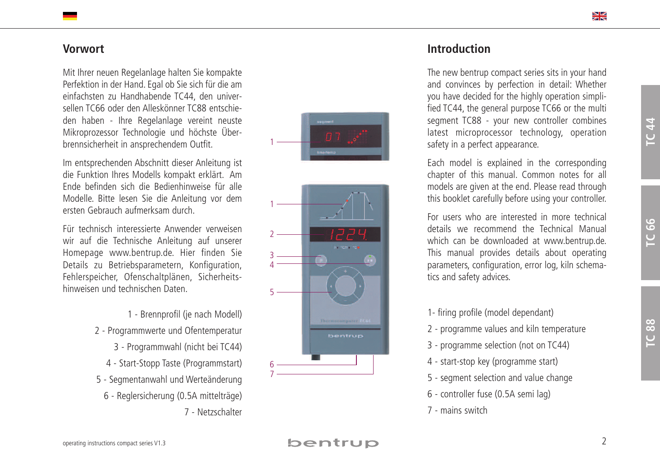# **Vo r w o r t**

Mit Ihrer neuen Regelanlage halten Sie kompakte Perfektion in der Hand. Egal ob Sie sich für die am einfachsten zu Handhabende TC44, den universellen TC66 oder den Alleskönner TC88 entschieden haben - Ihre Regelanlage vereint neuste Mikroprozessor Technologie und höchste Uberbrennsicherheit in ansprechendem Outfit.

Im entsprechenden Abschnitt dieser Anleitung ist die Funktion Ihres Modells kompakt erklärt. Am Ende befinden sich die Bedienhinweise für alle Modelle. Bitte lesen Sie die Anleitung vor dem ersten Gebrauch aufmerksam durch.

Für technisch interessierte Anwender verweisen wir auf die Technische Anleitung auf unserer Homepage www.bentrup.de. Hier finden Sie Details zu Betriebsparametern, Konfiguration, Fehlerspeicher, Ofenschaltplänen, Sicherheitshinweisen und technischen Daten.

> 1 - Brennprofil (je nach Modell) 2 - Programmwerte und Ofentemperatur 3 - Programmwahl (nicht bei TC44) 4 - Start-Stopp Taste (Programmstart) 5 - Segmentanwahl und Werteänderung 6 - Reglersicherung (0.5A mittelträge) 7 - Netzschalter



# **lntroduction**

The new bentrup compact series sits in your hand and convinces by perfection in detail: Whether you have decided for the highly operation simplified TC44, the general purpose TC66 or the multi segment TC88 - your new controller combines latest microprocessor technology, operation safety in a perfect appearance.

Each model is explained in the corresponding chapter of this manual. Common notes for all models are given at the end. Please read through this booklet carefully before using your controller.

For users who are interested in more technical details we recommend the Technical Manual which can be downloaded at www.bentrup.de. This manual provides details about operating parameters, configuration, error log, kiln schematics and safety advices.

- 1- firing profile (model dependant)
- 2 programme values and kiln temperature
- 3 programme selection (not on TC44)
- 4 start-stop key (programme start)
- 5 segment selection and value change
- 6 controller fuse (0.5A semi lag)
- 7 mains switch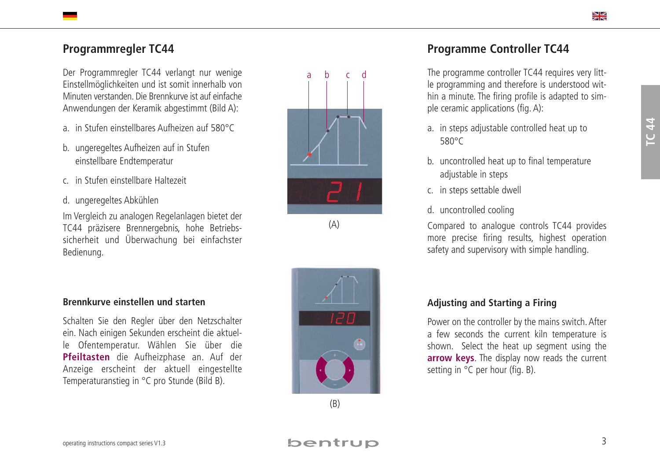# **P r o g r a m m r e g l e r T C 4 4**

Der Programmregler TC44 verlangt nur wenige Einstellmöglichkeiten und ist somit innerhalb von Minuten verstanden. Die Brennkurve ist auf einfache Anwendungen der Keramik abgestimmt (Bild A):

- a. in Stufen einstellbares Aufheizen auf 580°C
- b.  $\,$  ungeregeltes Aufheizen auf in Stufen einstellbare Endtemperatur
- c. in Stufen einstellbare Haltezeit
- d. ungeregeltes Abkühlen

Im Vergleich zu analogen Regelanlagen bietet der TC44 präzisere Brennergebnis, hohe Betriebssicherheit und Uberwachung bei einfachster Bedienung.

## Brennkurve einstellen und starten

Schalten Sie den Regler über den Netzschalter ein. Nach einigen Sekunden erscheint die aktuelle Ofentemperatur. Wählen Sie über die Pfeiltasten die Aufheizphase an. Auf der Anzeige erscheint der aktuell eingestellte Temperaturanstieg in °C pro Stunde (Bild B).

# Programme Controller TC44

The programme controller TC44 requires very little programming and therefore is understood within a minute. The firing profile is adapted to simple ceramic applications (fig. A):

- a. in steps adjustable controlled heat up to 5 8 0 ° C
- b. uncontrolled heat up to final temperature adjustable in steps
- c. in steps settable dwell
- d. uncontrolled cooling

Compared to analogue controls TC44 provides more precise firing results, highest operation safety and supervisory with simple handling.

## Adjusting and Starting a Firing

Power on the controller by the mains switch. After a few seconds the current kiln temperature is shown. Select the heat up segment using the **arrow keys.** The display now reads the current setting in  $^{\circ}$ C per hour (fig. B).

a b c d

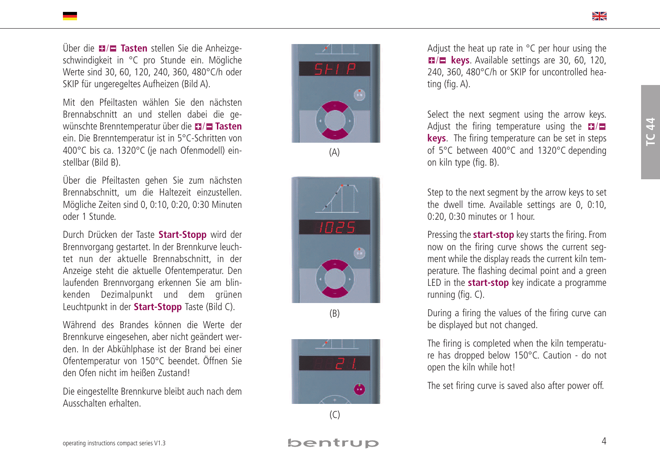Uber die 17/**0 Tasten** stellen Sie die Anheizgeschwindigkeit in °C pro Stunde ein. Mögliche Werte sind 30, 60, 120, 240, 360, 480°C/h oder SKIP für ungeregeltes Aufheizen (Bild A).

Mit den Pfeiltasten wählen Sie den nächsten Brennabschnitt an und stellen dabei die gewünschte Brenntemperatur über die 17/**1 Tasten** ein. Die Brenntemperatur ist in 5°C-Schritten von 400°C bis ca. 1320°C (je nach Ofenmodell) einstellbar (Bild B).

Uber die Pfeiltasten gehen Sie zum nächsten Brennabschnitt, um die Haltezeit einzustellen. Mögliche Zeiten sind 0, 0:10, 0:20, 0:30 Minuten oder 1 Stunde.

Durch Drücken der Taste Start-Stopp wird der Brennvorgang gestartet. In der Brennkurve leuchtet nun der aktuelle Brennabschnitt, in der Anzeige steht die aktuelle Ofentemperatur. Den laufenden Brennvorgang erkennen Sie am blinkenden Dezimalpunkt und dem grünen Leuchtpunkt in der Start-Stopp Taste (Bild C).

Während des Brandes können die Werte der Brennkurve eingesehen, aber nicht geändert werden. In der Abkühlphase ist der Brand bei einer Ofentemperatur von 150°C beendet. Öffnen Sie den Ofen nicht im heißen Zustand!

Die eingestellte Brennkurve bleibt auch nach dem Ausschalten erhalten.



( A )



( B )



Adjust the heat up rate in  $\degree$ C per hour using the **B** keys. Available settings are 30, 60, 120, 240, 360, 480°C/h or SKIP for uncontrolled heating (fig. A).

Select the next segment using the arrow keys. Adjust the firing temperature using the **H keys**. The firing temperature can be set in steps of 5 $\degree$ C between 400 $\degree$ C and 1320 $\degree$ C depending on kiln type (fig. B).

Step to the next segment by the arrow keys to set the dwell time. Available settings are 0, 0:10, 0:20, 0:30 minutes or 1 hour.

Pressing the **start-stop** key starts the firing. From now on the firing curve shows the current segment while the display reads the current kiln temperature. The flashing decimal point and a green LED in the **start-stop** key indicate a programme running (fig. C).

During a firing the values of the firing curve can be displayed but not changed.

The firing is completed when the kiln temperature has dropped below 150°C. Caution - do not open the kiln while hot!

The set firing curve is saved also after power off.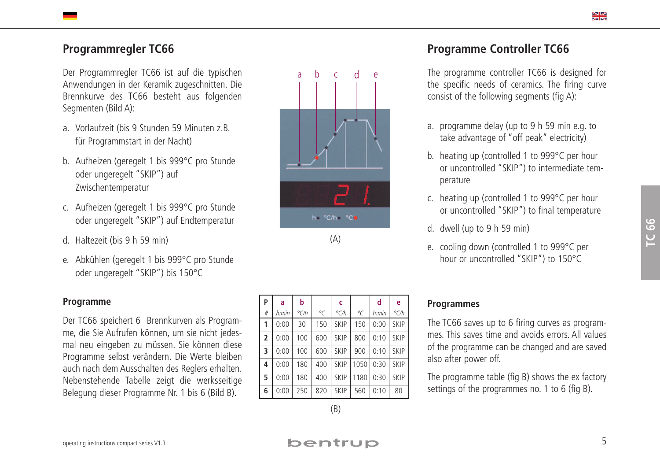# **Programmregler TC66**

Der Programmregler TC66 ist auf die typischen Anwendungen in der Keramik zugeschnitten. Die Brennkurve des TC66 besteht aus folgenden Segmenten (Bild A):

- a. Vorlaufzeit (bis 9 Stunden 59 Minuten z.B. für Programmstart in der Nacht)
- b. Aufheizen (geregelt 1 bis 999°C pro Stunde oder ungeregelt "SKIP") auf Zwischentemperatur
- c. Aufheizen (geregelt 1 bis 999°C pro Stunde oder ungeregelt "SKIP") auf Endtemperatur
- d. Haltezeit (bis 9 h 59 min)
- e. Abkühlen (geregelt 1 bis 999°C pro Stunde oder ungeregelt "SKIP") bis 150°C

#### **Programme**

Der TC66 speichert 6 Brennkurven als Programme, die Sie Aufrufen können, um sie nicht jedesmal neu eingeben zu müssen. Sie können diese Programme selbst verändern. Die Werte bleiben auch nach dem Ausschalten des Reglers erhalten. Nebenstehende Tabelle zeigt die werksseitige Belegung dieser Programme Nr. 1 bis 6 (Bild B).



(A)

| P              | a           | b             |                | c             |             | d     | e             |
|----------------|-------------|---------------|----------------|---------------|-------------|-------|---------------|
| #              | h:min       | $\degree$ C/h | $\overline{C}$ | $\degree$ C/h | $^{\circ}C$ | h:min | $\degree$ C/h |
| 1              | 0:00        | 30            | 150            | SKIP          | 150         | 0:00  | <b>SKIP</b>   |
| $\overline{2}$ | 0:00        | 100<br>600    |                | SKIP          | 800         | 0:10  | SKIP          |
| $\cdot$ 3      | 0:00        | 100           | 600            | SKIP          | 900         | 0:10  | <b>SKIP</b>   |
| 4              | 0:00        | 180<br>400    |                | SKIP          | 1050        | 0:30  | <b>SKIP</b>   |
| l 5.           | 0:00<br>180 |               | 400            | SKIP          | 1180        | 0:30  | SKIP          |
| 6              | 0:00        | 250           | 820            | SKIP          | 560         | 0:10  | 80            |

# **Programme Controller TC66**

The programme controller TC66 is designed for the specific needs of ceramics. The firing curve consist of the following segments (fig A):

- a. programme delay (up to 9 h 59 min e.g. to take advantage of "off peak" electricity)
- b. heating up (controlled 1 to 999°C per hour or uncontrolled "SKIP") to intermediate temperature
- c. heating up (controlled 1 to 999°C per hour or uncontrolled "SKIP") to final temperature
- d. dwell (up to 9 h 59 min)
- e. cooling down (controlled 1 to 999°C per hour or uncontrolled "SKIP") to 150°C

#### **Programmes**

The TC66 saves up to 6 firing curves as programmes. This saves time and avoids errors. All values of the programme can be changed and are saved also after power off.

The programme table (fig B) shows the ex factory settings of the programmes no. 1 to 6 (fig B).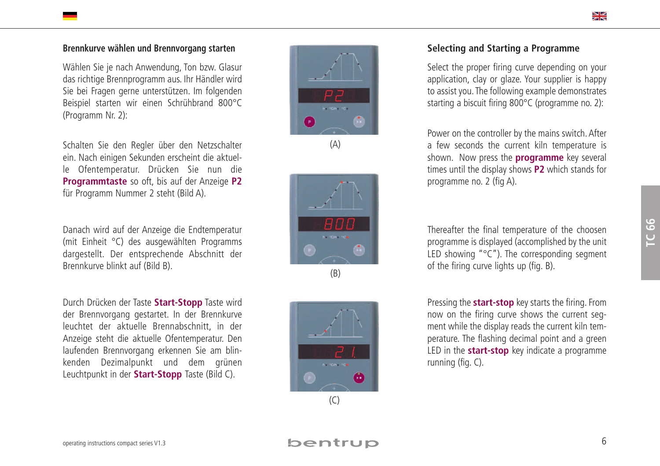## Brennkurve wählen und Brennvorgang starten

Wählen Sie je nach Anwendung, Ton bzw. Glasur das richtige Brennprogramm aus. Ihr Händler wird Sie bei Fragen gerne unterstützen. Im folgenden Beispiel starten wir einen Schrühbrand 800°C (Programm Nr. 2):

Schalten Sie den Regler über den Netzschalter ein. Nach einigen Sekunden erscheint die aktuelle Ofentemperatur. Drücken Sie nun die **Programmtaste** so oft, bis auf der Anzeige P2 für Programm Nummer 2 steht (Bild A).

Danach wird auf der Anzeige die Endtemperatur (mit Einheit °C) des ausgewählten Programms dargestellt. Der entsprechende Abschnitt der Brennkurve blinkt auf (Bild B).

Durch Drücken der Taste Start-Stopp Taste wird der Brennvorgang gestartet. In der Brennkurve leuchtet der aktuelle Brennabschnitt, in der Anzeige steht die aktuelle Ofentemperatur. Den laufenden Brennvorgang erkennen Sie am blinkenden Dezimalpunkt und dem grünen Leuchtpunkt in der Start-Stopp Taste (Bild C).



( A )





## Selecting and Starting a Programme

Select the proper firing curve depending on your application, clay or glaze. Your supplier is happy to assist you. The following example demonstrates starting a biscuit firing  $800^{\circ}$ C (programme no. 2):

Power on the controller by the mains switch. After a few seconds the current kiln temperature is shown. Now press the **programme** key several times until the display shows **P2** which stands for programme no. 2 (fig A).

Thereafter the final temperature of the choosen programme is displayed (accomplished by the unit LED showing " $C$ "). The corresponding segment of the firing curve lights up (fig. B).

Pressing the **start-stop** key starts the firing. From now on the firing curve shows the current segment while the display reads the current kiln temperature. The flashing decimal point and a green LED in the **start-stop** key indicate a programme running (fig. C).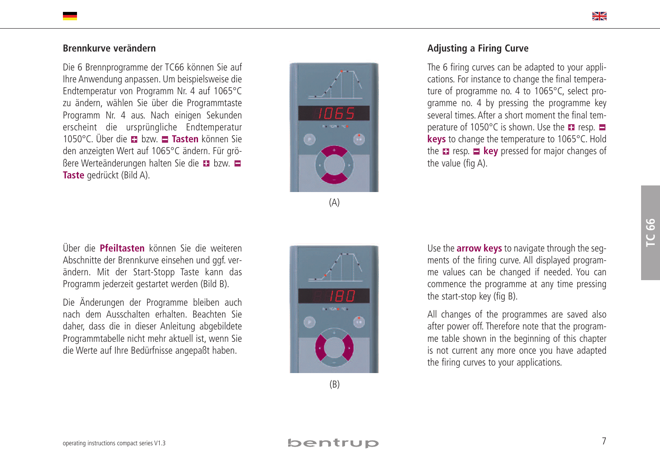#### Brennkurve verändern

Die 6 Brennprogramme der TC66 können Sie auf Ihre Anwendung anpassen. Um beispielsweise die Endtemperatur von Programm Nr. 4 auf 1065°C zu ändern, wählen Sie über die Programmtaste Programm Nr. 4 aus. Nach einigen Sekunden erscheint die ursprüngliche Endtemperatur 1050°C. Über die **E1** bzw. **E1 Tasten** können Sie den anzeigten Wert auf 1065°C ändern. Für größere Werteänderungen halten Sie die ■ bzw. **Taste** gedrückt (Bild A).



$$
\left\langle \mathsf{A}\right\rangle
$$

## Adjusting a Firing Curve

The 6 firing curves can be adapted to your applications. For instance to change the final temperature of programme no. 4 to 1065 $\degree$ C, select programme no. 4 by pressing the programme key several times. After a short moment the final temperature of 1050 $^{\circ}$ C is shown. Use the  $\blacksquare$  resp. **keys** to change the temperature to 1065°C. Hold the **n** resp. **E** key pressed for major changes of the value (fig A).

**TC 66**

Über die Pfeiltasten können Sie die weiteren Abschnitte der Brennkurve einsehen und ggf. verändern. Mit der Start-Stopp Taste kann das Programm jederzeit gestartet werden (Bild B).

Die Änderungen der Programme bleiben auch nach dem Ausschalten erhalten. Beachten Sie daher, dass die in dieser Anleitung abgebildete Programmtabelle nicht mehr aktuell ist, wenn Sie die Werte auf Ihre Bedürfnisse angepaßt haben.



Use the **arrow keys** to navigate through the segments of the firing curve. All displayed programme values can be changed if needed. You can commence the programme at any time pressing the start-stop key (fig B).

All changes of the programmes are saved also after power off. Therefore note that the programme table shown in the beginning of this chapter is not current any more once you have adapted the firing curves to your applications.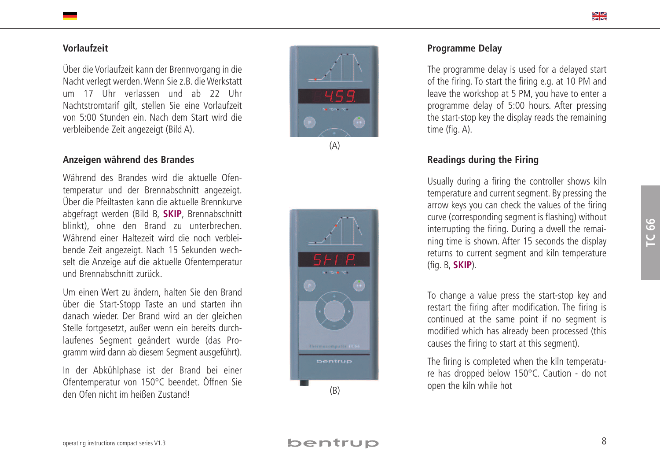#### **Vo r l a u f z e i t**

Uber die Vorlaufzeit kann der Brennvorgang in die Nacht verlegt werden. Wenn Sie z.B. die Werkstatt um 17 Uhr verlassen und ab 22 Uhr Nachtstromtarif gilt, stellen Sie eine Vorlaufzeit von 5:00 Stunden ein. Nach dem Start wird die verbleibende Zeit angezeigt (Bild A).

#### Anzeigen während des Brandes

Während des Brandes wird die aktuelle Ofentemperatur und der Brennabschnitt angezeigt. Über die Pfeiltasten kann die aktuelle Brennkurve abgefragt werden (Bild B, SKIP, Brennabschnitt blinkt), ohne den Brand zu unterbrechen. Während einer Haltezeit wird die noch verbleibende Zeit angezeigt. Nach 15 Sekunden wechselt die Anzeige auf die aktuelle Ofentemperatur und Brennabschnitt zurück.

Um einen Wert zu ändern, halten Sie den Brand über die Start-Stopp Taste an und starten ihn danach wieder. Der Brand wird an der gleichen Stelle fortgesetzt, außer wenn ein bereits durchlaufenes Segment geändert wurde (das Programm wird dann ab diesem Segment ausgeführt).

In der Abkühlphase ist der Brand bei einer Ofentemperatur von 150°C beendet. Öffnen Sie den Ofen nicht im heißen Zustand!



$$
(\mathsf{A})
$$

( B )

#### **P r o g r a m m e D e l a y**

The programme delay is used for a delayed start of the firing. To start the firing e.g. at 10 PM and leave the workshop at 5 PM, you have to enter a programme delay of 5:00 hours. After pressing the start-stop key the display reads the remaining time (fig. A).

## **Readings during the Firing**

Usually during a firing the controller shows kiln temperature and current segment. By pressing the arrow keys you can check the values of the firing curve (corresponding segment is flashing) without interrupting the firing. During a dwell the remaining time is shown. After 15 seconds the display returns to current segment and kiln temperature ( f i g . B , **S K I P** ) .

To change a value press the start-stop key and restart the firing after modification. The firing is continued at the same point if no segment is modified which has already been processed (this causes the firing to start at this segment).

The firing is completed when the kiln temperature has dropped below 150°C. Caution - do not open the kiln while hot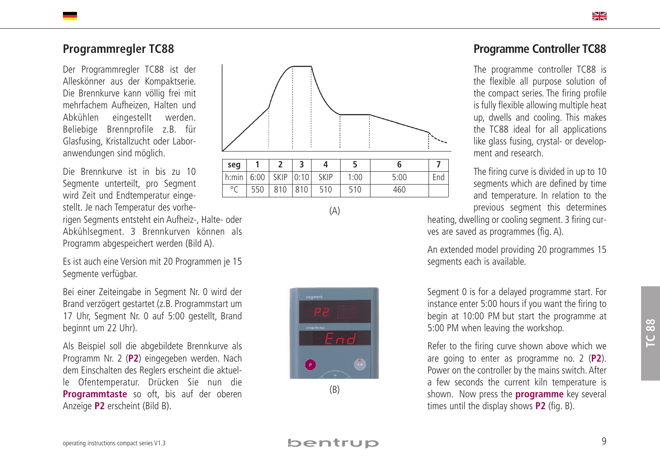# **P r o g r a m m r e g l e r T C 8 8**

Der Programmregler TC88 ist der Alleskönner aus der Kompaktserie. Die Brennkurve kann völlig frei mit mehrfachem Aufheizen, Halten und Abkühlen eingestellt werden. Beliebige Brennprofile z.B. für Glasfusing, Kristallzucht oder Laboranwendungen sind möglich.

Die Brennkurve ist in bis zu 10 Segmente unterteilt, pro Segment wird Zeit und Endtemperatur eingestellt. Je nach Temperatur des vorherigen Segments entsteht ein Aufheiz-, Halte- oder Abkühlsegment. 3 Brennkurven können als Programm abgespeichert werden (Bild A).

Es ist auch eine Version mit 20 Programmen je 15 Segmente verfügbar.

Bei einer Zeiteingabe in Segment Nr. 0 wird der Brand verzögert gestartet (z.B. Programmstart um 17 Uhr, Segment Nr. 0 auf 5:00 gestellt, Brand beginnt um 22 Uhr).

Als Beispiel soll die abgebildete Brennkurve als Programm Nr. 2 (P2) eingegeben werden. Nach dem Einschalten des Reglers erscheint die aktuelle Ofentemperatur. Drücken Sie nun die **Programmtaste** so oft, bis auf der oberen Anzeige P2 erscheint (Bild B).



( A )



# Programme Controller TC88

The programme controller TC88 is the flexible all purpose solution of the compact series. The firing profile is fully flexible allowing multiple heat up, dwells and cooling. This makes the TC88 ideal for all applications like glass fusing, crystal- or development and research.

The firing curve is divided in up to 10 segments which are defined by time and temperature. In relation to the previous segment this determines

heating, dwelling or cooling segment. 3 firing curves are saved as programmes (fig. A).

An extended model providing 20 programmes 15 segments each is available.

Segment 0 is for a delayed programme start. For instance enter 5:00 hours if you want the firing to begin at 10:00 PM but start the programme at 5:00 PM when leaving the workshop.

Refer to the firing curve shown above which we are going to enter as programme no. 2 (P2). Power on the controller by the mains switch. After a few seconds the current kiln temperature is shown. Now press the **programme** key several times until the display shows **P2** (fig. B).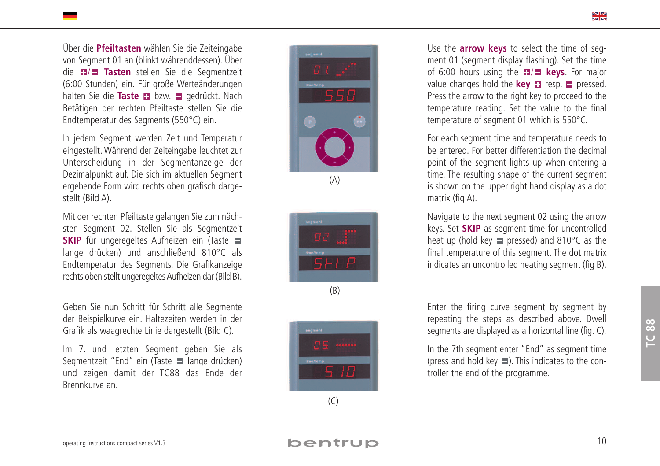Uber die **Pfeiltasten** wählen Sie die Zeiteingabe von Segment 01 an (blinkt währenddessen). Uber die 17**1 Tasten** stellen Sie die Segmentzeit (6:00 Stunden) ein. Für große Werteänderungen halten Sie die **Taste E** bzw. ■ gedrückt. Nach Betätigen der rechten Pfeiltaste stellen Sie die Endtemperatur des Segments (550°C) ein.

In jedem Segment werden Zeit und Temperatur eingestellt. Während der Zeiteingabe leuchtet zur Unterscheidung in der Segmentanzeige der Dezimalpunkt auf. Die sich im aktuellen Segment ergebende Form wird rechts oben grafisch dargestellt (Bild A).

Mit der rechten Pfeiltaste gelangen Sie zum nächsten Segment 02. Stellen Sie als Segmentzeit **SKIP** für ungeregeltes Aufheizen ein (Taste lange drücken) und anschließend 810°C als Endtemperatur des Segments. Die Grafikanzeige rechts oben stellt ungeregeltes Aufheizen dar (Bild B).

Geben Sie nun Schritt für Schritt alle Segmente der Beispielkurve ein. Haltezeiten werden in der Grafik als waagrechte Linie dargestellt (Bild C).

Im 7. und letzten Segment geben Sie als Segmentzeit "End" ein (Taste □ lange drücken) und zeigen damit der TC88 das Ende der Brennkurve an.

( B )

( A )



Use the **arrow keys** to select the time of segment 01 (segment display flashing). Set the time of 6:00 hours using the **E**/**E** keys. For major value changes hold the **key E** resp. **E** pressed. Press the arrow to the right key to proceed to the temperature reading. Set the value to the final temperature of segment 01 which is  $550^{\circ}$ C.

For each segment time and temperature needs to be entered. For better differentiation the decimal point of the segment lights up when entering a time. The resulting shape of the current segment is shown on the upper right hand display as a dot matrix (fig A).

Navigate to the next segment 02 using the arrow keys. Set SKIP as segment time for uncontrolled heat up (hold key  $\blacksquare$  pressed) and 810°C as the final temperature of this segment. The dot matrix indicates an uncontrolled heating segment (fig B).

Enter the firing curve segment by segment by repeating the steps as described above. Dwell segments are displayed as a horizontal line (fig. C).

In the 7th segment enter "End" as segment time (press and hold key  $\Box$ ). This indicates to the controller the end of the programme.

 $\geq$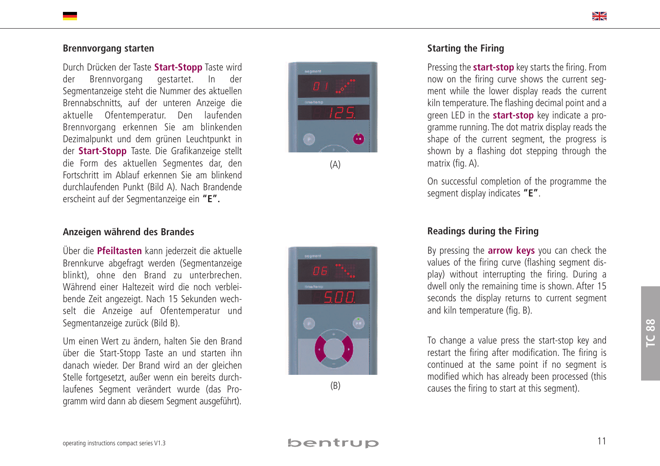#### Brennvorgang starten

Durch Drücken der Taste Start-Stopp Taste wird d e r Brennvorgang gestartet. In d e r Segmentanzeige steht die Nummer des aktuellen Brennabschnitts, auf der unteren Anzeige die aktuelle Ofentemperatur. Den laufenden Brennvorgang erkennen Sie am blinkenden Dezimalpunkt und dem grünen Leuchtpunkt in der Start-Stopp Taste. Die Grafikanzeige stellt die Form des aktuellen Segmentes dar, den Fortschritt im Ablauf erkennen Sie am blinkend durchlaufenden Punkt (Bild A). Nach Brandende erscheint auf der Segmentanzeige ein "**E".** 

#### Anzeigen während des Brandes

Über die Pfeiltasten kann jederzeit die aktuelle Brennkurve abgefragt werden (Segmentanzeige blinkt), ohne den Brand zu unterbrechen. Während einer Haltezeit wird die noch verbleibende Zeit angezeigt. Nach 15 Sekunden wechselt die Anzeige auf Ofentemperatur und Segmentanzeige zurück (Bild B).

Um einen Wert zu ändern, halten Sie den Brand über die Start-Stopp Taste an und starten ihn danach wieder. Der Brand wird an der gleichen Stelle fortgesetzt, außer wenn ein bereits durchlaufenes Segment verändert wurde (das Programm wird dann ab diesem Segment ausgeführt).



( A )



( B )

#### **Starting the Firing**

Pressing the start-stop key starts the firing. From now on the firing curve shows the current segment while the lower display reads the current kiln temperature. The flashing decimal point and a green LED in the start-stop key indicate a programme running. The dot matrix display reads the shape of the current segment, the progress is shown by a flashing dot stepping through the matrix (fig. A).

On successful completion of the programme the segment display indicates "**E"**.

#### Readings during the Firing

By pressing the **arrow keys** you can check the values of the firing curve (flashing segment display) without interrupting the firing. During a dwell only the remaining time is shown. After 15 seconds the display returns to current segment and kiln temperature (fig. B).

To change a value press the start-stop key and restart the firing after modification. The firing is continued at the same point if no segment is modified which has already been processed (this causes the firing to start at this segment).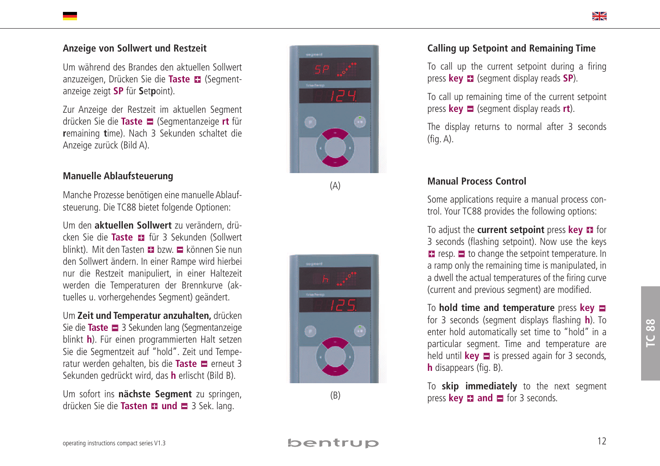#### Anzeige von Sollwert und Restzeit

Um während des Brandes den aktuellen Sollwert anzuzeigen, Drücken Sie die Taste II (Segmentanzeige zeigt **SP** für **S**et**p**oint).

Zur Anzeige der Restzeit im aktuellen Segment drücken Sie die **Taste ■** (Segmentanzeige **rt** für **r**emaining **t**ime). Nach 3 Sekunden schaltet die Anzeige zurück (Bild A).

#### **Manuelle Ablaufsteuerung**

Manche Prozesse benötigen eine manuelle Ablaufsteuerung. Die TC88 bietet folgende Optionen:

Um den **aktuellen Sollwert** zu verändern, drücken Sie die Taste E für 3 Sekunden (Sollwert blinkt). Mit den Tasten ■ bzw. ■ können Sie nun den Sollwert ändern. In einer Rampe wird hierbei nur die Restzeit manipuliert, in einer Haltezeit werden die Temperaturen der Brennkurve (aktuelles u. vorhergehendes Segment) geändert.

Um Zeit und Temperatur anzuhalten, drücken Sie die Taste  $\Box$  3 Sekunden lang (Segmentanzeige blinkt **h**). Für einen programmierten Halt setzen Sie die Segmentzeit auf "hold". Zeit und Temperatur werden gehalten, bis die Taste Terneut 3 Sekunden gedrückt wird, das **h** erlischt (Bild B).

Um sofort ins nächste Segment zu springen, drücken Sie die Tasten II und  $\blacksquare$  3 Sek. lang.



( A )



( B )

#### **Calling up Setpoint and Remaining Time**

To call up the current setpoint during a firing press **key <b>E** (segment display reads **SP**).

To call up remaining time of the current setpoint press **key**  $\Box$  (segment display reads **rt**).

The display returns to normal after 3 seconds ( f i g . A ) .

#### **Manual Process Control**

Some applications require a manual process control. Your TC88 provides the following options:

To adjust the current setpoint press key **E** for 3 seconds (flashing setpoint). Now use the keys resp.  $\Box$  to change the setpoint temperature. In a ramp only the remaining time is manipulated, in a dwell the actual temperatures of the firing curve (current and previous segment) are modified.

To hold time and temperature press key for 3 seconds (segment displays flashing **h**). To enter hold automatically set time to "hold" in a particular segment. Time and temperature are held until **key**  $\Box$  is pressed again for 3 seconds, **h** disappears (fig. B).

To **skip immediately** to the next segment press **key**  $\blacksquare$  **and**  $\blacksquare$  for 3 seconds.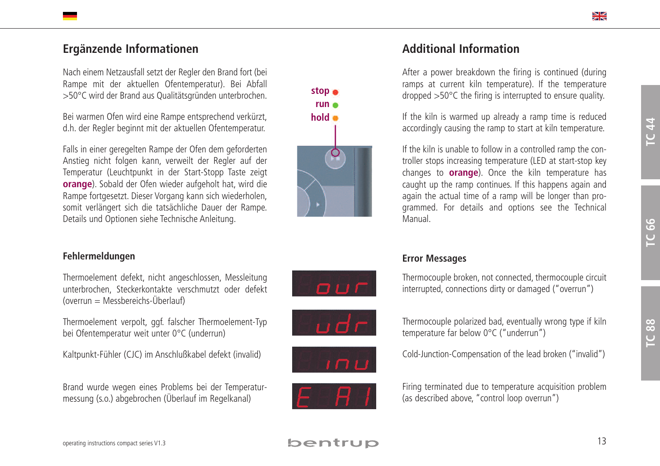# **Ergänzende Informationen**

Nach einem Netzausfall setzt der Regler den Brand fort (bei Rampe mit der aktuellen Ofentemperatur). Bei Abfall >50°C wird der Brand aus Qualitätsgründen unterbrochen.

Bei warmen Ofen wird eine Rampe entsprechend verkürzt, d.h. der Regler beginnt mit der aktuellen Ofentemperatur.

Falls in einer geregelten Rampe der Ofen dem geforderten Anstieg nicht folgen kann, verweilt der Regler auf der Temperatur (Leuchtpunkt in der Start-Stopp Taste zeigt **orange**). Sobald der Ofen wieder aufgeholt hat, wird die Rampe fortgesetzt. Dieser Vorgang kann sich wiederholen, somit verlängert sich die tatsächliche Dauer der Rampe. Details und Optionen siehe Technische Anleitung.

# **stop run hold**

# **Additional Information**

After a power breakdown the firing is continued (during ramps at current kiln temperature). If the temperature dropped >50°C the firing is interrupted to ensure quality.

If the kiln is warmed up already a ramp time is reduced accordingly causing the ramp to start at kiln temperature.

If the kiln is unable to follow in a controlled ramp the controller stops increasing temperature (LED at start-stop key changes to **orange**). Once the kiln temperature has caught up the ramp continues. If this happens again and again the actual time of a ramp will be longer than programmed. For details and options see the Technical Manual.

# **Fehlermeldungen**

Thermoelement defekt, nicht angeschlossen, Messleitung unterbrochen, Steckerkontakte verschmutzt oder defekt  $(overrun = Messagereichs-Uberlauf)$ 

Thermoelement verpolt, ggf. falscher Thermoelement-Typ bei Ofentemperatur weit unter 0°C (underrun)

Kaltpunkt-Fühler (CJC) im Anschlußkabel defekt (invalid)

Brand wurde wegen eines Problems bei der Temperaturmessung (s.o.) abgebrochen (Überlauf im Regelkanal)









## **Error Messages**







Cold-Junction-Compensation of the lead broken ("invalid")



Firing terminated due to temperature acquisition problem (as described above, "control loop overrun")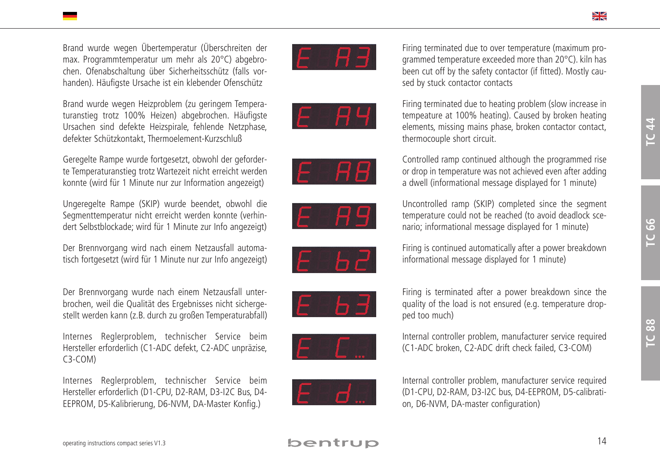Brand wurde wegen Übertemperatur (Überschreiten der max. Programmtemperatur um mehr als 20°C) abgebrochen. Ofenabschaltung über Sicherheitsschütz (falls vorhanden). Häufigste Ursache ist ein klebender Ofenschütz

Brand wurde wegen Heizproblem (zu geringem Temperaturanstieg trotz 100% Heizen) abgebrochen. Häufigste Ursachen sind defekte Heizspirale, fehlende Netzphase, defekter Schützkontakt, Thermoelement-Kurzschluß

Geregelte Rampe wurde fortgesetzt, obwohl der geforderte Temperaturanstieg trotz Wartezeit nicht erreicht werden konnte (wird für 1 Minute nur zur Information angezeigt)

Ungeregelte Rampe (SKIP) wurde beendet, obwohl die Segmenttemperatur nicht erreicht werden konnte (verhindert Selbstblockade; wird für 1 Minute zur Info angezeigt)

Der Brennvorgang wird nach einem Netzausfall automatisch fortgesetzt (wird für 1 Minute nur zur Info angezeigt)

Der Brennvorgang wurde nach einem Netzausfall unterbrochen, weil die Qualität des Ergebnisses nicht sichergestellt werden kann (z.B. durch zu großen Temperaturabfall)

Internes Reglerproblem, technischer Service beim Hersteller erforderlich (C1-ADC defekt, C2-ADC unpräzise, C3-COM)

Internes Reglerproblem, technischer Service beim Hersteller erforderlich (D1-CPU, D2-RAM, D3-I2C Bus, D4- EEPROM, D5-Kalibrierung, D6-NVM, DA-Master Konfig.)

















Firing terminated due to over temperature (maximum programmed temperature exceeded more than 20°C). kiln has been cut off by the safety contactor (if fitted). Mostly caused by stuck contactor contacts



Controlled ramp continued although the programmed rise or drop in temperature was not achieved even after adding a dwell (informational message displayed for 1 minute) Uncontrolled ramp (SKIP) completed since the segment temperature could not be reached (to avoid deadlock scenario; informational message displayed for 1 minute)



Firing is continued automatically after a power breakdown informational message displayed for 1 minute)







Internal controller problem, manufacturer service required (C1-ADC broken, C2-ADC drift check failed, C3-COM)

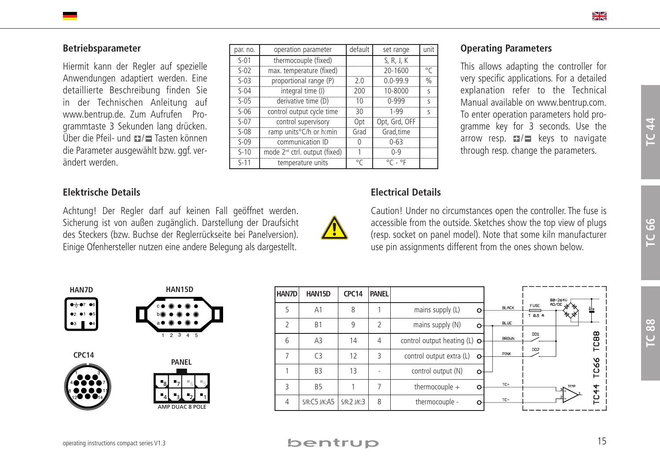## **Betriebsparameter**

Hiermit kann der Regler auf spezielle Anwendungen adaptiert werden. Eine detaillierte Beschreibung finden Sie in der Technischen Anleitung auf www.bentrup.de. Zum Aufrufen Programmtaste 3 Sekunden lang drücken. Über die Pfeil- und  $\blacksquare$ / $\blacksquare$  Tasten können die Parameter ausgewählt bzw. ggf. verändert werden.

## **Elektrische Details**

 $1 - 3$ 4**0 8 8 8** 7 8 **0 0 0** 11 12 J J 14

**CPC14**

Achtung! Der Regler darf auf keinen Fall geöffnet werden. Sicherung ist von außen zugänglich. Darstellung der Draufsicht des Steckers (bzw. Buchse der Reglerrückseite bei Panelversion). Einige Ofenhersteller nutzen eine andere Belegung als dargestellt.

| par. no. | operation parameter                       | default      | set range                   | unit         |
|----------|-------------------------------------------|--------------|-----------------------------|--------------|
| $S-01$   | thermocouple (fixed)                      |              | S, R, J, K                  |              |
| $S-02$   | max. temperature (fixed)                  |              | 20-1600                     | $\circ$ C    |
| $S-03$   | proportional range (P)                    | 2.0          | $0.0 - 99.9$                | $\%$         |
| $S-04$   | integral time (I)                         | 200          | 10-8000                     | $\mathsf{S}$ |
| $S-05$   | derivative time (D)                       | 10           | $0 - 999$                   | $\mathsf{S}$ |
| $S-06$   | control output cycle time                 | 30           | $1 - 99$                    | $\mathsf{S}$ |
| $S-07$   | control supervisory                       | Opt          | Opt, Grd, OFF               |              |
| $S-08$   | ramp units°C/h or h:min                   | Grad         | Grad, time                  |              |
| $S-09$   | communication ID                          | 0            | $0 - 63$                    |              |
| $S-10$   | mode 2 <sup>nd</sup> ctrl. output (fixed) |              | $0 - 9$                     |              |
| $S-11$   | temperature units                         | $^{\circ}$ C | $^{\circ}$ C - $^{\circ}$ F |              |

## **Operating Parameters**

This allows adapting the controller for very specific applications. For a detailed explanation refer to the Technical Manual available on www.bentrup.com. To enter operation parameters hold programme key for 3 seconds. Use the arrow resp.  $\Box / \Box$  keys to navigate through resp. change the parameters.

# **Electrical Details**



Caution! Under no circumstances open the controller. The fuse is accessible from the outside. Sketches show the top view of plugs (resp. socket on panel model). Note that some kiln manufacturer use pin assignments different from the ones shown below.



AMP DUAC 8 POLE

| HAN15D                | <b>HAN7D</b> | HAN15D         | CPC <sub>14</sub> | <b>PANEL</b>             |                                      |              |                        |                                   |             |
|-----------------------|--------------|----------------|-------------------|--------------------------|--------------------------------------|--------------|------------------------|-----------------------------------|-------------|
|                       | 5            | A <sub>1</sub> | 8                 |                          | mains supply (L)<br>$\circ$          | <b>BLACK</b> | <b>FUSE</b><br>T 8.5 A | 88-261V<br><b>AD/DC 36 %</b><br>ᅕ | 萱           |
|                       |              | B <sub>1</sub> | 9                 |                          | mains supply (N)<br>$\mathbf{C}$     | <b>BLUE</b>  |                        |                                   |             |
| 2345                  | 6            | A <sub>3</sub> | 14                | 4                        | control output heating (L) $\bullet$ | <b>BROWN</b> | DO1                    |                                   | TC88        |
| <b>PANEL</b>          |              | C <sub>3</sub> | 12                | 3                        | control output extra (L)<br>പ        | PIW          | DO2                    |                                   |             |
|                       |              | B <sub>3</sub> | 13                | $\overline{\phantom{a}}$ | control output (N)<br>⊶              |              |                        |                                   | <b>TC66</b> |
|                       |              | <b>B5</b>      |                   |                          | thermocouple $+$<br>ᡐ                | TC+          |                        | TEMP                              |             |
| <b>AP DUAC 8 POLE</b> | 4            | S/R:C5 J/K:A5  | S/R:2 J/K:3       | 8                        | thermocouple -<br>o-                 | $TC-$        |                        |                                   | TC4         |
|                       |              |                |                   |                          |                                      |              |                        |                                   |             |

**TC44**